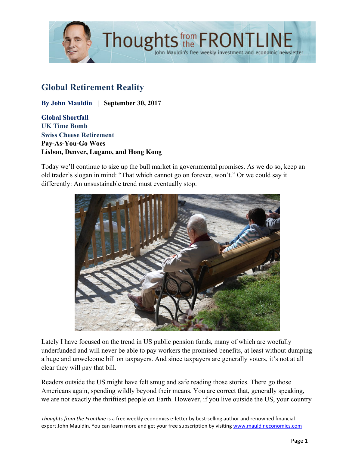

# **Global Retirement Reality**

**By John Mauldin | September 30, 2017**

**Global Shortfall UK Time Bomb Swiss Cheese Retirement Pay-As-You-Go Woes Lisbon, Denver, Lugano, and Hong Kong**

Today we'll continue to size up the bull market in governmental promises. As we do so, keep an old trader's slogan in mind: "That which cannot go on forever, won't." Or we could say it differently: An unsustainable trend must eventually stop.



Lately I have focused on the trend in US public pension funds, many of which are woefully underfunded and will never be able to pay workers the promised benefits, at least without dumping a huge and unwelcome bill on taxpayers. And since taxpayers are generally voters, it's not at all clear they will pay that bill.

Readers outside the US might have felt smug and safe reading those stories. There go those Americans again, spending wildly beyond their means. You are correct that, generally speaking, we are not exactly the thriftiest people on Earth. However, if you live outside the US, your country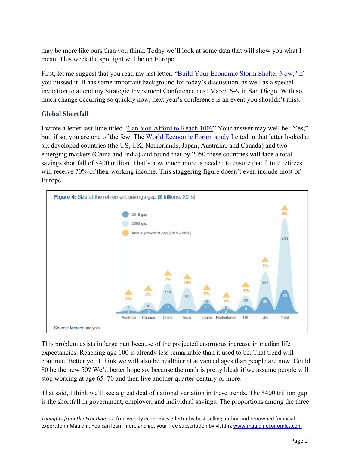may be more like ours than you think. Today we'll look at some data that will show you what I mean. This week the spotlight will be on Europe.

First, let me suggest that you read my last letter, ["Build Your Economic Storm Shelter Now,"](http://www.mauldineconomics.com/frontlinethoughts/build-your-economic-storm-shelter-now) if you missed it. It has some important background for today's discussiion, as well as a special invitation to attend my Strategic Investment Conference next March 6–9 in San Diego. With so much change occurring so quickly now, next year's conference is an event you shouldn't miss.

### **Global Shortfall**

I wrote a letter last June titled ["Can You Afford to Reach 100?"](http://www.mauldineconomics.com/frontlinethoughts/can-you-afford-to-reach-100) Your answer may well be "Yes;" but, if so, you are one of the few. Th[e World Economic Forum study](http://www3.weforum.org/docs/WEF_White_Paper_We_Will_Live_to_100.pdf) I cited in that letter looked at six developed countries (the US, UK, Netherlands, Japan, Australia, and Canada) and two emerging markets (China and India) and found that by 2050 these countries will face a total savings shortfall of \$400 trillion. That's how much more is needed to ensure that future retirees will receive 70% of their working income. This staggering figure doesn't even include most of Europe.



This problem exists in large part because of the projected enormous increase in median life expectancies. Reaching age 100 is already less remarkable than it used to be. That trend will continue. Better yet, I think we will also be healthier at advanced ages than people are now. Could 80 be the new 50? We'd better hope so, because the math is pretty bleak if we assume people will stop working at age 65–70 and then live another quarter-century or more.

That said, I think we'll see a great deal of national variation in these trends. The \$400 trillion gap is the shortfall in government, employer, and individual savings. The proportions among the three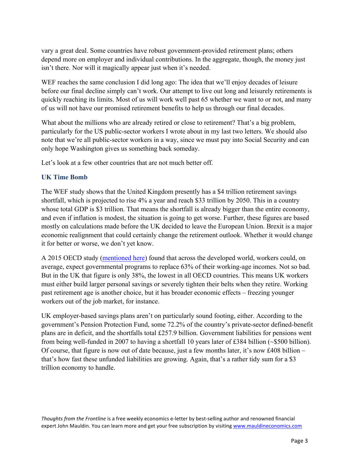vary a great deal. Some countries have robust government-provided retirement plans; others depend more on employer and individual contributions. In the aggregate, though, the money just isn't there. Nor will it magically appear just when it's needed.

WEF reaches the same conclusion I did long ago: The idea that we'll enjoy decades of leisure before our final decline simply can't work. Our attempt to live out long and leisurely retirements is quickly reaching its limits. Most of us will work well past 65 whether we want to or not, and many of us will not have our promised retirement benefits to help us through our final decades.

What about the millions who are already retired or close to retirement? That's a big problem, particularly for the US public-sector workers I wrote about in my last two letters. We should also note that we're all public-sector workers in a way, since we must pay into Social Security and can only hope Washington gives us something back someday.

Let's look at a few other countries that are not much better off.

### **UK Time Bomb**

The WEF study shows that the United Kingdom presently has a \$4 trillion retirement savings shortfall, which is projected to rise 4% a year and reach \$33 trillion by 2050. This in a country whose total GDP is \$3 trillion. That means the shortfall is already bigger than the entire economy, and even if inflation is modest, the situation is going to get worse. Further, these figures are based mostly on calculations made before the UK decided to leave the European Union. Brexit is a major economic realignment that could certainly change the retirement outlook. Whether it would change it for better or worse, we don't yet know.

A 2015 OECD study [\(mentioned here\)](http://www.telegraph.co.uk/business/2017/05/26/pensions-sitting-global-time-bomb-warns-wef/) found that across the developed world, workers could, on average, expect governmental programs to replace 63% of their working-age incomes. Not so bad. But in the UK that figure is only 38%, the lowest in all OECD countries. This means UK workers must either build larger personal savings or severely tighten their belts when they retire. Working past retirement age is another choice, but it has broader economic effects – freezing younger workers out of the job market, for instance.

UK employer-based savings plans aren't on particularly sound footing, either. According to the government's Pension Protection Fund, some 72.2% of the country's private-sector defined-benefit plans are in deficit, and the shortfalls total £257.9 billion. Government liabilities for pensions went from being well-funded in 2007 to having a shortfall 10 years later of £384 billion (~\$500 billion). Of course, that figure is now out of date because, just a few months later, it's now £408 billion – that's how fast these unfunded liabilities are growing. Again, that's a rather tidy sum for a \$3 trillion economy to handle.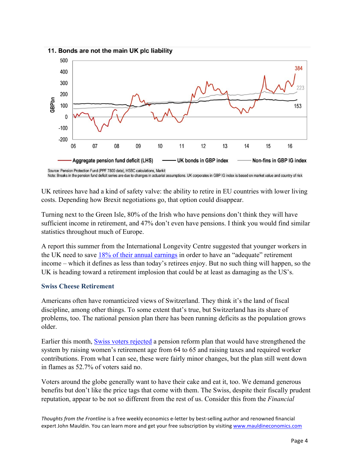



UK retirees have had a kind of safety valve: the ability to retire in EU countries with lower living costs. Depending how Brexit negotiations go, that option could disappear.

Turning next to the Green Isle, 80% of the Irish who have pensions don't think they will have sufficient income in retirement, and 47% don't even have pensions. I think you would find similar statistics throughout much of Europe.

A report this summer from the International Longevity Centre suggested that younger workers in the UK need to save [18% of their annual earnings](https://www.ft.com/content/9084bef6-6c8a-11e7-bfeb-33fe0c5b7eaa) in order to have an "adequate" retirement income – which it defines as less than today's retirees enjoy. But no such thing will happen, so the UK is heading toward a retirement implosion that could be at least as damaging as the US's.

#### **Swiss Cheese Retirement**

Americans often have romanticized views of Switzerland. They think it's the land of fiscal discipline, among other things. To some extent that's true, but Switzerland has its share of problems, too. The national pension plan there has been running deficits as the population grows older.

Earlier this month, [Swiss voters rejected](https://www.ft.com/content/8a3bd3e0-a123-11e7-b797-b61809486fe2) a pension reform plan that would have strengthened the system by raising women's retirement age from 64 to 65 and raising taxes and required worker contributions. From what I can see, these were fairly minor changes, but the plan still went down in flames as 52.7% of voters said no.

Voters around the globe generally want to have their cake and eat it, too. We demand generous benefits but don't like the price tags that come with them. The Swiss, despite their fiscally prudent reputation, appear to be not so different from the rest of us. Consider this from the *Financial*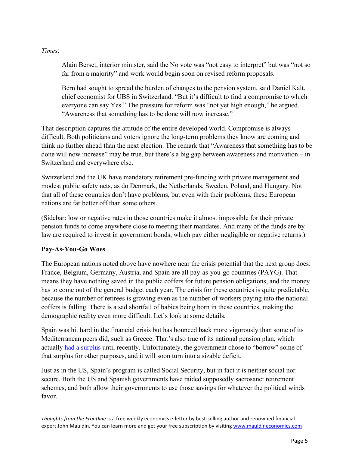*Times*:

Alain Berset, interior minister, said the No vote was "not easy to interpret" but was "not so far from a majority" and work would begin soon on revised reform proposals.

Bern had sought to spread the burden of changes to the pension system, said Daniel Kalt, chief economist for UBS in Switzerland. "But it's difficult to find a compromise to which everyone can say Yes." The pressure for reform was "not yet high enough," he argued. "Awareness that something has to be done will now increase."

That description captures the attitude of the entire developed world. Compromise is always difficult. Both politicians and voters ignore the long-term problems they know are coming and think no further ahead than the next election. The remark that "Awareness that something has to be done will now increase" may be true, but there's a big gap between awareness and motivation – in Switzerland and everywhere else.

Switzerland and the UK have mandatory retirement pre-funding with private management and modest public safety nets, as do Denmark, the Netherlands, Sweden, Poland, and Hungary. Not that all of these countries don't have problems, but even with their problems, these European nations are far better off than some others.

(Sidebar: low or negative rates in those countries make it almost impossible for their private pension funds to come anywhere close to meeting their mandates. And many of the funds are by law are required to invest in government bonds, which pay either negligible or negative returns.)

# **Pay-As-You-Go Woes**

The European nations noted above have nowhere near the crisis potential that the next group does: France, Belgium, Germany, Austria, and Spain are all pay-as-you-go countries (PAYG). That means they have nothing saved in the public coffers for future pension obligations, and the money has to come out of the general budget each year. The crisis for these countries is quite predictable, because the number of retirees is growing even as the number of workers paying into the national coffers is falling. There is a sad shortfall of babies being born in these countries, making the demographic reality even more difficult. Let's look at some details.

Spain was hit hard in the financial crisis but has bounced back more vigorously than some of its Mediterranean peers did, such as Greece. That's also true of its national pension plan, which actually [had a surplus](https://wolfstreet.com/2016/12/24/a-new-crisis-is-brewing-in-spain/) until recently. Unfortunately, the government chose to "borrow" some of that surplus for other purposes, and it will soon turn into a sizable deficit.

Just as in the US, Spain's program is called Social Security, but in fact it is neither social nor secure. Both the US and Spanish governments have raided supposedly sacrosanct retirement schemes, and both allow their governments to use those savings for whatever the political winds favor.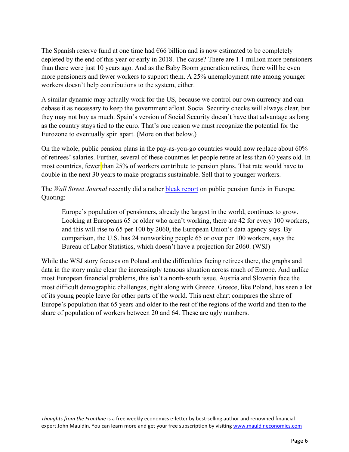The Spanish reserve fund at one time had €66 billion and is now estimated to be completely depleted by the end of this year or early in 2018. The cause? There are 1.1 million more pensioners than there were just 10 years ago. And as the Baby Boom generation retires, there will be even more pensioners and fewer workers to support them. A 25% unemployment rate among younger workers doesn't help contributions to the system, either.

A similar dynamic may actually work for the US, because we control our own currency and can debase it as necessary to keep the government afloat. Social Security checks will always clear, but they may not buy as much. Spain's version of Social Security doesn't have that advantage as long as the country stays tied to the euro. That's one reason we must recognize the potential for the Eurozone to eventually spin apart. (More on that below.)

On the whole, public pension plans in the pay-as-you-go countries would now replace about 60% of retirees' salaries. Further, several of these countries let people retire at less than 60 years old. In most countries, fewer than 25% of workers contribute to pension plans. That rate would have to double in the next 30 years to make programs sustainable. Sell that to younger workers.

The *Wall Street Journal* recently did a rather [bleak report](https://www.wsj.com/articles/europe-faces-pension-predicament-1457287588) on public pension funds in Europe. Quoting:

Europe's population of pensioners, already the largest in the world, continues to grow. Looking at Europeans 65 or older who aren't working, there are 42 for every 100 workers, and this will rise to 65 per 100 by 2060, the European Union's data agency says. By comparison, the U.S. has 24 nonworking people 65 or over per 100 workers, says the Bureau of Labor Statistics, which doesn't have a projection for 2060. (WSJ)

While the WSJ story focuses on Poland and the difficulties facing retirees there, the graphs and data in the story make clear the increasingly tenuous situation across much of Europe. And unlike most European financial problems, this isn't a north-south issue. Austria and Slovenia face the most difficult demographic challenges, right along with Greece. Greece, like Poland, has seen a lot of its young people leave for other parts of the world. This next chart compares the share of Europe's population that 65 years and older to the rest of the regions of the world and then to the share of population of workers between 20 and 64. These are ugly numbers.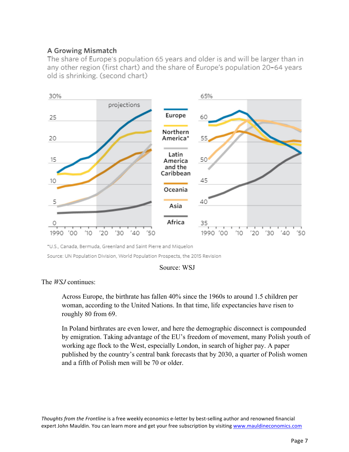## A Growing Mismatch

The share of Europe's population 65 years and older is and will be larger than in any other region (first chart) and the share of Europe's population 20-64 years old is shrinking. (second chart)



\*U.S., Canada, Bermuda, Greenland and Saint Pierre and Miquelon

Source: UN Population Division, World Population Prospects, the 2015 Revision



### The *WSJ* continues:

Across Europe, the birthrate has fallen 40% since the 1960s to around 1.5 children per woman, according to the United Nations. In that time, life expectancies have risen to roughly 80 from 69.

In Poland birthrates are even lower, and here the demographic disconnect is compounded by emigration. Taking advantage of the EU's freedom of movement, many Polish youth of working age flock to the West, especially London, in search of higher pay. A paper published by the country's central bank forecasts that by 2030, a quarter of Polish women and a fifth of Polish men will be 70 or older.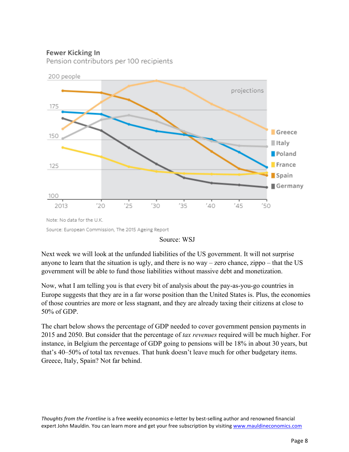### Fewer Kicking In

Pension contributors per 100 recipients



Source: European Commission, The 2015 Ageing Report

#### Source: WSJ

Next week we will look at the unfunded liabilities of the US government. It will not surprise anyone to learn that the situation is ugly, and there is no way – zero chance, zippo – that the US government will be able to fund those liabilities without massive debt and monetization.

Now, what I am telling you is that every bit of analysis about the pay-as-you-go countries in Europe suggests that they are in a far worse position than the United States is. Plus, the economies of those countries are more or less stagnant, and they are already taxing their citizens at close to 50% of GDP.

The chart below shows the percentage of GDP needed to cover government pension payments in 2015 and 2050. But consider that the percentage of *tax revenues* required will be much higher. For instance, in Belgium the percentage of GDP going to pensions will be 18% in about 30 years, but that's 40–50% of total tax revenues. That hunk doesn't leave much for other budgetary items. Greece, Italy, Spain? Not far behind.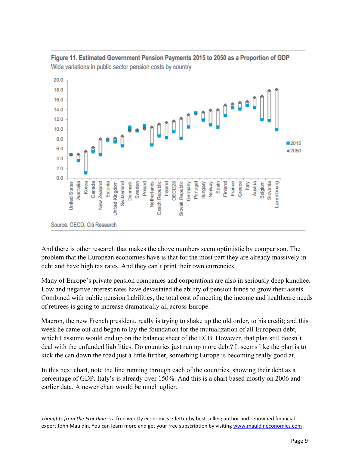



And there is other research that makes the above numbers seem optimistic by comparison. The problem that the European economies have is that for the most part they are already massively in debt and have high tax rates. And they can't print their own currencies.

Many of Europe's private pension companies and corporations are also in seriously deep kimchee. Low and negative interest rates have devastated the ability of pension funds to grow their assets. Combined with public pension liabilities, the total cost of meeting the income and healthcare needs of retirees is going to increase dramatically all across Europe.

Macron, the new French president, really is trying to shake up the old order, to his credit; and this week he came out and began to lay the foundation for the mutualization of all European debt, which I assume would end up on the balance sheet of the ECB. However, that plan still doesn't deal with the unfunded liabilities. Do countries just run up more debt? It seems like the plan is to kick the can down the road just a little further, something Europe is becoming really good at.

In this next chart, note the line running through each of the countries, showing their debt as a percentage of GDP. Italy's is already over 150%. And this is a chart based mostly on 2006 and earlier data. A newer chart would be much uglier.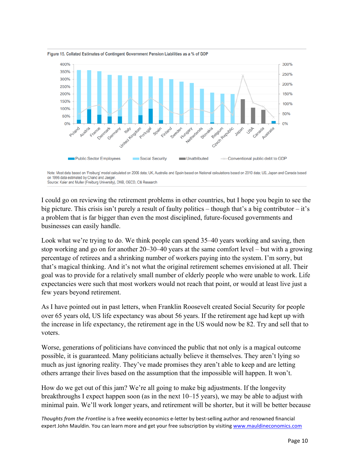

Figure 15. Collated Estimates of Contingent Government Pension Liabilities as a % of GDP

I could go on reviewing the retirement problems in other countries, but I hope you begin to see the big picture. This crisis isn't purely a result of faulty politics – though that's a big contributor – it's a problem that is far bigger than even the most disciplined, future-focused governments and businesses can easily handle.

Look what we're trying to do. We think people can spend 35–40 years working and saving, then stop working and go on for another 20–30–40 years at the same comfort level – but with a growing percentage of retirees and a shrinking number of workers paying into the system. I'm sorry, but that's magical thinking. And it's not what the original retirement schemes envisioned at all. Their goal was to provide for a relatively small number of elderly people who were unable to work. Life expectancies were such that most workers would not reach that point, or would at least live just a few years beyond retirement.

As I have pointed out in past letters, when Franklin Roosevelt created Social Security for people over 65 years old, US life expectancy was about 56 years. If the retirement age had kept up with the increase in life expectancy, the retirement age in the US would now be 82. Try and sell that to voters.

Worse, generations of politicians have convinced the public that not only is a magical outcome possible, it is guaranteed. Many politicians actually believe it themselves. They aren't lying so much as just ignoring reality. They've made promises they aren't able to keep and are letting others arrange their lives based on the assumption that the impossible will happen. It won't.

How do we get out of this jam? We're all going to make big adjustments. If the longevity breakthroughs I expect happen soon (as in the next 10–15 years), we may be able to adjust with minimal pain. We'll work longer years, and retirement will be shorter, but it will be better because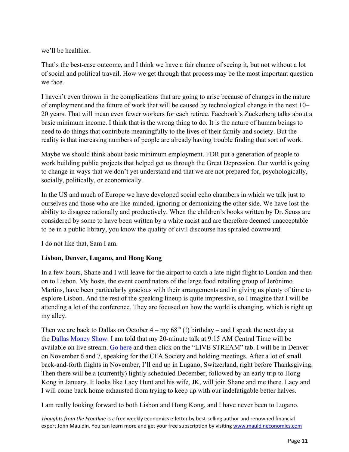we'll be healthier.

That's the best-case outcome, and I think we have a fair chance of seeing it, but not without a lot of social and political travail. How we get through that process may be the most important question we face.

I haven't even thrown in the complications that are going to arise because of changes in the nature of employment and the future of work that will be caused by technological change in the next 10– 20 years. That will mean even fewer workers for each retiree. Facebook's Zuckerberg talks about a basic minimum income. I think that is the wrong thing to do. It is the nature of human beings to need to do things that contribute meaningfully to the lives of their family and society. But the reality is that increasing numbers of people are already having trouble finding that sort of work.

Maybe we should think about basic minimum employment. FDR put a generation of people to work building public projects that helped get us through the Great Depression. Our world is going to change in ways that we don't yet understand and that we are not prepared for, psychologically, socially, politically, or economically.

In the US and much of Europe we have developed social echo chambers in which we talk just to ourselves and those who are like-minded, ignoring or demonizing the other side. We have lost the ability to disagree rationally and productively. When the children's books written by Dr. Seuss are considered by some to have been written by a white racist and are therefore deemed unacceptable to be in a public library, you know the quality of civil discourse has spiraled downward.

I do not like that, Sam I am.

### **Lisbon, Denver, Lugano, and Hong Kong**

In a few hours, Shane and I will leave for the airport to catch a late-night flight to London and then on to Lisbon. My hosts, the event coordinators of the large food retailing group of Jerónimo Martins, have been particularly gracious with their arrangements and in giving us plenty of time to explore Lisbon. And the rest of the speaking lineup is quite impressive, so I imagine that I will be attending a lot of the conference. They are focused on how the world is changing, which is right up my alley.

Then we are back to Dallas on October  $4 - mv \ 68<sup>th</sup>$  (!) birthday – and I speak the next day at the [Dallas Money Show.](https://www.moneyshow.com/events/conferences/the-moneyshow/moneyshow-dallas/speakers/1610spk/john-mauldin/?scode=043351) I am told that my 20-minute talk at 9:15 AM Central Time will be available on live stream[. Go here](https://www.moneyshow.com/events/conferences/the-moneyshow/moneyshow-dallas/speakers/1610spk/john-mauldin/?scode=043351) and then click on the "LIVE STREAM" tab. I will be in Denver on November 6 and 7, speaking for the CFA Society and holding meetings. After a lot of small back-and-forth flights in November, I'll end up in Lugano, Switzerland, right before Thanksgiving. Then there will be a (currently) lightly scheduled December, followed by an early trip to Hong Kong in January. It looks like Lacy Hunt and his wife, JK, will join Shane and me there. Lacy and I will come back home exhausted from trying to keep up with our indefatigable better halves.

I am really looking forward to both Lisbon and Hong Kong, and I have never been to Lugano.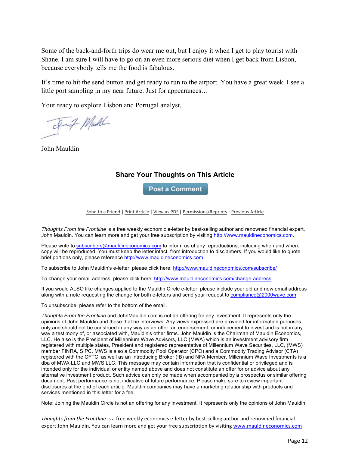Some of the back-and-forth trips do wear me out, but I enjoy it when I get to play tourist with Shane. I am sure I will have to go on an even more serious diet when I get back from Lisbon, because everybody tells me the food is fabulous.

It's time to hit the send button and get ready to run to the airport. You have a great week. I see a little port sampling in my near future. Just for appearances…

Your ready to explore Lisbon and Portugal analyst,

II Maddi

John Mauldin

#### **Share Your Thoughts on This Article**

**Post a Comment** 

Send to a Friend | Print Article | View as PDF | Permissions/Reprints | Previous Article

*Thoughts From the Frontline* is a free weekly economic e-letter by best-selling author and renowned financial expert, John Mauldin. You can learn more and get your free subscription by visiting http://www.mauldineconomics.com.

Please write to subscribers@mauldineconomics.com to inform us of any reproductions, including when and where copy will be reproduced. You must keep the letter intact, from introduction to disclaimers. If you would like to quote brief portions only, please reference http://www.mauldineconomics.com.

To subscribe to John Mauldin's e-letter, please click here: http://www.mauldineconomics.com/subscribe/

To change your email address, please click here: http://www.mauldineconomics.com/change-address

If you would ALSO like changes applied to the Mauldin Circle e-letter, please include your old and new email address along with a note requesting the change for both e-letters and send your request to compliance@2000wave.com.

To unsubscribe, please refer to the bottom of the email.

*Thoughts From the Frontline* and JohnMauldin.com is not an offering for any investment. It represents only the opinions of John Mauldin and those that he interviews. Any views expressed are provided for information purposes only and should not be construed in any way as an offer, an endorsement, or inducement to invest and is not in any way a testimony of, or associated with, Mauldin's other firms. John Mauldin is the Chairman of Mauldin Economics, LLC. He also is the President of Millennium Wave Advisors, LLC (MWA) which is an investment advisory firm registered with multiple states, President and registered representative of Millennium Wave Securities, LLC, (MWS) member FINRA, SIPC. MWS is also a Commodity Pool Operator (CPO) and a Commodity Trading Advisor (CTA) registered with the CFTC, as well as an Introducing Broker (IB) and NFA Member. Millennium Wave Investments is a dba of MWA LLC and MWS LLC. This message may contain information that is confidential or privileged and is intended only for the individual or entity named above and does not constitute an offer for or advice about any alternative investment product. Such advice can only be made when accompanied by a prospectus or similar offering document. Past performance is not indicative of future performance. Please make sure to review important disclosures at the end of each article. Mauldin companies may have a marketing relationship with products and services mentioned in this letter for a fee.

Note: Joining the Mauldin Circle is not an offering for any investment. It represents only the opinions of John Mauldin